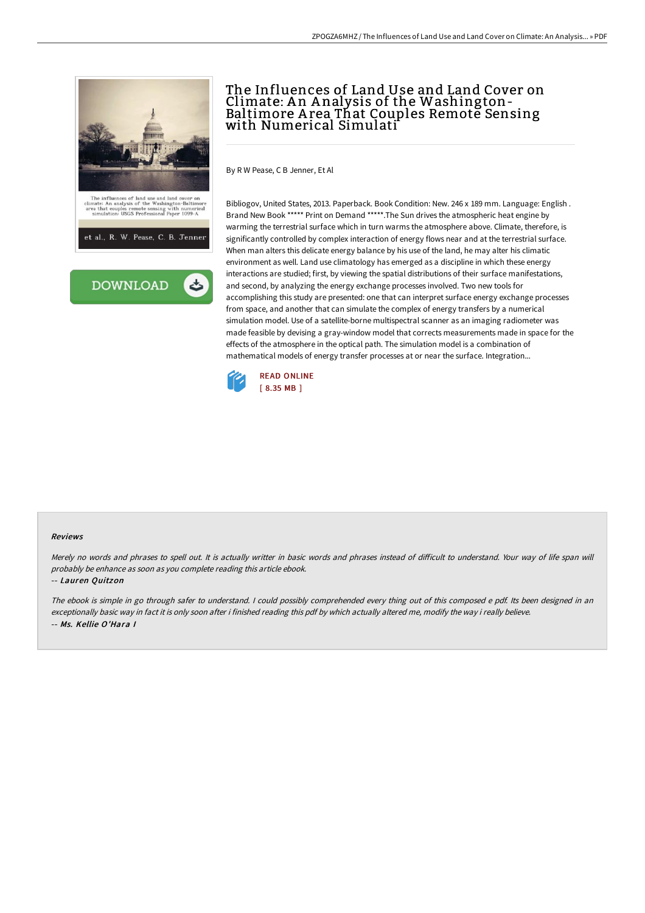



# The Influences of Land Use and Land Cover on Climate: A n A nalysis of the Washington-Baltimore A rea That Couples Remote Sensing with Numerical Simulati

By R W Pease, C B Jenner, Et Al

Bibliogov, United States, 2013. Paperback. Book Condition: New. 246 x 189 mm. Language: English . Brand New Book \*\*\*\*\* Print on Demand \*\*\*\*\*.The Sun drives the atmospheric heat engine by warming the terrestrial surface which in turn warms the atmosphere above. Climate, therefore, is significantly controlled by complex interaction of energy flows near and at the terrestrial surface. When man alters this delicate energy balance by his use of the land, he may alter his climatic environment as well. Land use climatology has emerged as a discipline in which these energy interactions are studied; first, by viewing the spatial distributions of their surface manifestations, and second, by analyzing the energy exchange processes involved. Two new tools for accomplishing this study are presented: one that can interpret surface energy exchange processes from space, and another that can simulate the complex of energy transfers by a numerical simulation model. Use of a satellite-borne multispectral scanner as an imaging radiometer was made feasible by devising a gray-window model that corrects measurements made in space for the effects of the atmosphere in the optical path. The simulation model is a combination of mathematical models of energy transfer processes at or near the surface. Integration...



#### Reviews

Merely no words and phrases to spell out. It is actually writter in basic words and phrases instead of difficult to understand. Your way of life span will probably be enhance as soon as you complete reading this article ebook.

#### -- Lauren Quitzon

The ebook is simple in go through safer to understand. <sup>I</sup> could possibly comprehended every thing out of this composed <sup>e</sup> pdf. Its been designed in an exceptionally basic way in fact it is only soon after i finished reading this pdf by which actually altered me, modify the way i really believe. -- Ms. Kellie O'Hara I